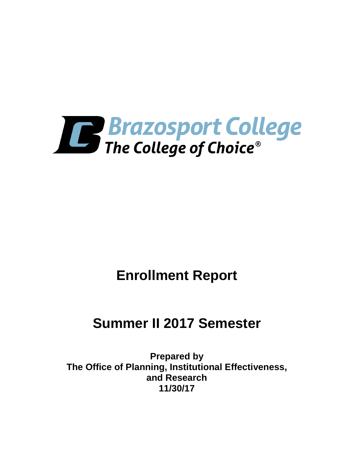

# **Enrollment Report**

# **Summer II 2017 Semester**

**Prepared by The Office of Planning, Institutional Effectiveness, and Research 11/30/17**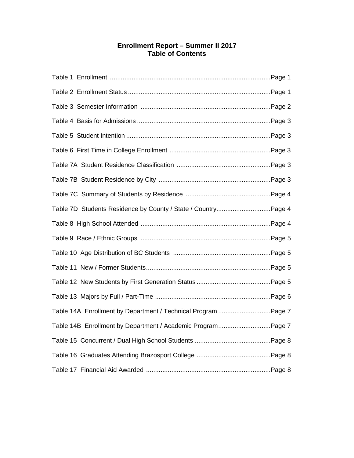## **Enrollment Report – Summer II 2017 Table of Contents**

| Table 7D Students Residence by County / State / CountryPage 4 |  |
|---------------------------------------------------------------|--|
|                                                               |  |
|                                                               |  |
|                                                               |  |
|                                                               |  |
|                                                               |  |
|                                                               |  |
| Table 14A Enrollment by Department / Technical Program Page 7 |  |
| Table 14B Enrollment by Department / Academic ProgramPage 7   |  |
|                                                               |  |
|                                                               |  |
|                                                               |  |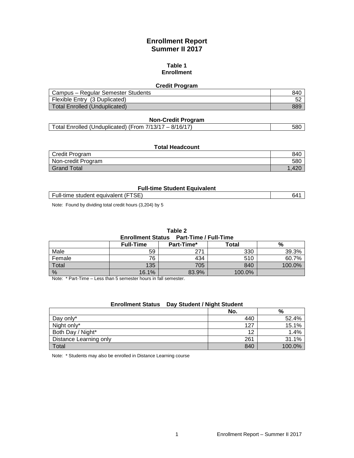## **Enrollment Report Summer II 2017**

#### **Table 1 Enrollment**

#### **Credit Program**

| Campus – Regular Semester Students | 840 |
|------------------------------------|-----|
| Flexible Entry (3 Duplicated)      | ີວ∠ |
| Total Enrolled (Unduplicated)      | 889 |

#### **Non-Credit Program**

| $-8/16/17$<br>58C<br>Total Enrolled (Unduplicated) (From 7/13/17 |
|------------------------------------------------------------------|

| <b>Total Headcount</b> |     |  |
|------------------------|-----|--|
| Credit Program         | 84C |  |
| Non-credit Program     | 580 |  |
| <b>Grand Total</b>     |     |  |

#### **Full-time Student Equivalent**

| $\overline{\phantom{0}}$<br>.<br>equivalent<br>student<br>Full-time<br>⊃⊏ | ಗ⊿ |
|---------------------------------------------------------------------------|----|

Note: Found by dividing total credit hours (3,204) by 5

#### **Table 2**

**Enrollment Status Part-Time / Full-Time**

|              | <b>Full-Time</b> | Part-Time* | <b>Total</b> | %      |
|--------------|------------------|------------|--------------|--------|
| Male         | 59               | 271        | 330          | 39.3%  |
| Female       | 76               | 434        | 510          | 60.7%  |
| <b>Total</b> | 135              | 705        | 840          | 100.0% |
| %            | 16.1%            | 83.9%      | 100.0%       |        |

Note: \* Part-Time – Less than 5 semester hours in fall semester.

#### **Enrollment Status Day Student / Night Student**

|                        | No. | %      |
|------------------------|-----|--------|
| Day only*              | 440 | 52.4%  |
| Night only*            | 127 | 15.1%  |
| Both Day / Night*      | 12  | 1.4%   |
| Distance Learning only | 261 | 31.1%  |
| Total                  | 840 | 100.0% |

Note: \* Students may also be enrolled in Distance Learning course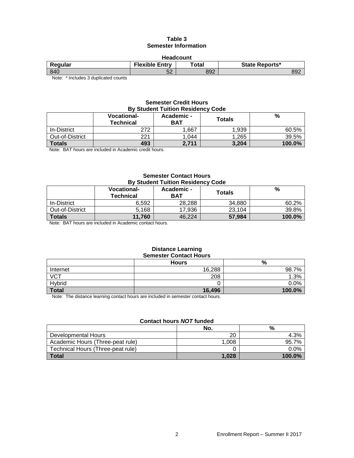#### **Table 3 Semester Information**

| <b>Headcount</b> |                                                                    |     |           |                                         |  |
|------------------|--------------------------------------------------------------------|-----|-----------|-----------------------------------------|--|
|                  | <b>Flexible Entry</b><br>Total<br><b>State Reports*</b><br>Regular |     |           |                                         |  |
| 892              |                                                                    | 892 | EO.<br>ےت |                                         |  |
|                  |                                                                    |     |           | 840<br>$-1$<br>$\cdots$<br>$\mathbf{A}$ |  |

Note: \* Includes 3 duplicated counts

#### **Semester Credit Hours By Student Tuition Residency Code**

|                 | <b>Vocational-</b><br><b>Technical</b> | Academic -<br><b>BAT</b> | <b>Totals</b> | %      |
|-----------------|----------------------------------------|--------------------------|---------------|--------|
| In-District     | 272                                    | .667                     | 1.939         | 60.5%  |
| Out-of-District | 221                                    | 1,044                    | 1,265         | 39.5%  |
| <b>Totals</b>   | 493                                    | 2,711                    | 3,204         | 100.0% |

Note: BAT hours are included in Academic credit hours.

#### **Semester Contact Hours By Student Tuition Residency Code**

|                 | <b>Vocational-</b><br>Technical | Academic -<br>BAT | Totals | %      |
|-----------------|---------------------------------|-------------------|--------|--------|
| In-District     | 6,592                           | 28.288            | 34,880 | 60.2%  |
| Out-of-District | 5.168                           | 17.936            | 23,104 | 39.8%  |
| <b>Totals</b>   | 11.760                          | 46.224            | 57,984 | 100.0% |

Note: BAT hours are included in Academic contact hours.

#### **Distance Learning Semester Contact Hours**

|                   | <b>Hours</b> | %      |
|-------------------|--------------|--------|
| Internet          | 16,288       | 98.7%  |
| $\overline{V}$ CT | 208          | .3%    |
| Hybrid            |              | 0.0%   |
| <b>Total</b>      | 16,496       | 100.0% |

Note: The distance learning contact hours are included in semester contact hours.

### **Contact hours** *NOT* **funded**

|                                   | No.   | %         |
|-----------------------------------|-------|-----------|
| Developmental Hours               | 20    | 4.3%      |
| Academic Hours (Three-peat rule)  | 1.008 | 95.7%     |
| Technical Hours (Three-peat rule) |       | 0.0%      |
| <b>Total</b>                      | 1.028 | $100.0\%$ |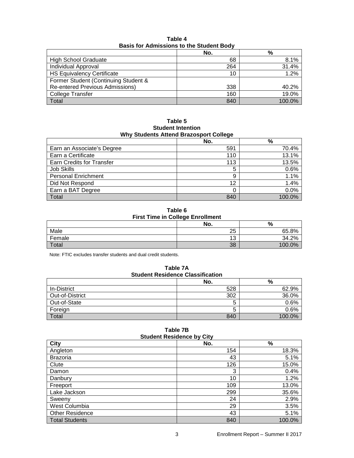| <b>Basis for Admissions to the Student Body</b> |     |         |  |
|-------------------------------------------------|-----|---------|--|
|                                                 | No. | %       |  |
| <b>High School Graduate</b>                     | 68  | 8.1%    |  |
| Individual Approval                             | 264 | 31.4%   |  |
| <b>HS Equivalency Certificate</b>               | 10  | $1.2\%$ |  |
| Former Student (Continuing Student &            |     |         |  |
| <b>Re-entered Previous Admissions)</b>          | 338 | 40.2%   |  |
| College Transfer                                | 160 | 19.0%   |  |
| Total                                           | 840 | 100.0%  |  |

**Table 4 Basis for Admissions to the Student Body**

**Table 5 Student Intention Why Students Attend Brazosport College**

|                            | No. | %      |
|----------------------------|-----|--------|
| Earn an Associate's Degree | 591 | 70.4%  |
| Earn a Certificate         | 110 | 13.1%  |
| Earn Credits for Transfer  | 113 | 13.5%  |
| <b>Job Skills</b>          | 5   | 0.6%   |
| <b>Personal Enrichment</b> | 9   | 1.1%   |
| Did Not Respond            | 12  | 1.4%   |
| Earn a BAT Degree          |     | 0.0%   |
| Total                      | 840 | 100.0% |

**Table 6 First Time in College Enrollment**

|        | -                     |             |
|--------|-----------------------|-------------|
|        | No.                   | %           |
| Male   | 25                    | 65.8%       |
| Female | $\overline{ }$<br>ں ا | 2%<br>34.2  |
| Total  | 38                    | 0%<br>100.6 |

Note: FTIC excludes transfer students and dual credit students.

**Table 7A Student Residence Classification**

|                 | No. | %      |
|-----------------|-----|--------|
| In-District     | 528 | 62.9%  |
| Out-of-District | 302 | 36.0%  |
| Out-of-State    |     | 0.6%   |
| Foreign         | э   | 0.6%   |
| Total           | 840 | 100.0% |

| <b>Student Residence by City</b> |     |        |  |
|----------------------------------|-----|--------|--|
| City                             | No. | %      |  |
| Angleton                         | 154 | 18.3%  |  |
| <b>Brazoria</b>                  | 43  | 5.1%   |  |
| Clute                            | 126 | 15.0%  |  |
| Damon                            | 3   | 0.4%   |  |
| Danbury                          | 10  | 1.2%   |  |
| Freeport                         | 109 | 13.0%  |  |
| Lake Jackson                     | 299 | 35.6%  |  |
| Sweeny                           | 24  | 2.9%   |  |
| West Columbia                    | 29  | 3.5%   |  |
| <b>Other Residence</b>           | 43  | 5.1%   |  |
| Total Students                   | 840 | 100.0% |  |

**Table 7B**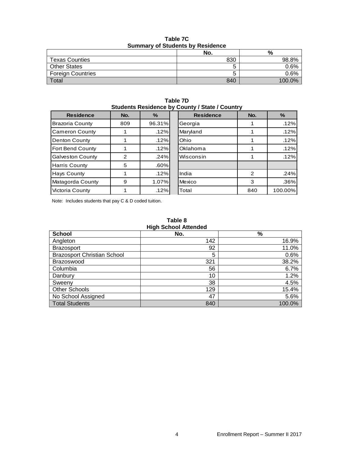|                          | No. | %       |  |
|--------------------------|-----|---------|--|
| <b>Texas Counties</b>    | 830 | 98.8%   |  |
| <b>Other States</b>      |     | $0.6\%$ |  |
| <b>Foreign Countries</b> |     | $0.6\%$ |  |
| Total                    | 840 | 100.0%  |  |

**Table 7C Summary of Students by Residence**

|                                                | Table 7D |  |  |
|------------------------------------------------|----------|--|--|
| Students Residence by County / State / Country |          |  |  |
|                                                |          |  |  |

| <b>Residence</b>        | No. | %      | <b>Residence</b> | No. | $\%$    |
|-------------------------|-----|--------|------------------|-----|---------|
| <b>Brazoria County</b>  | 809 | 96.31% | Georgia          |     | .12%    |
| <b>Cameron County</b>   |     | .12%   | Maryland         |     | .12%    |
| Denton County           |     | .12%   | Ohio             |     | .12%    |
| Fort Bend County        |     | .12%   | Oklahoma         |     | .12%    |
| <b>Galveston County</b> | 2   | .24%   | Wisconsin        |     | .12%    |
| <b>Harris County</b>    | 5   | .60%   |                  |     |         |
| Hays County             |     | .12%   | India            | 2   | .24%    |
| Matagorda County        | 9   | 1.07%  | Mexico           | 3   | $.36\%$ |
| Victoria County         |     | .12%   | Total            | 840 | 100.00% |

Note: Includes students that pay C & D coded tuition.

| Table 8 |  |                             |  |
|---------|--|-----------------------------|--|
|         |  | <b>High School Attended</b> |  |

| <b>School</b>                      | No. | %      |
|------------------------------------|-----|--------|
| Angleton                           | 142 | 16.9%  |
| <b>Brazosport</b>                  | 92  | 11.0%  |
| <b>Brazosport Christian School</b> | 5   | 0.6%   |
| Brazoswood                         | 321 | 38.2%  |
| Columbia                           | 56  | 6.7%   |
| Danbury                            | 10  | 1.2%   |
| Sweeny                             | 38  | 4.5%   |
| <b>Other Schools</b>               | 129 | 15.4%  |
| No School Assigned                 | 47  | 5.6%   |
| <b>Total Students</b>              | 840 | 100.0% |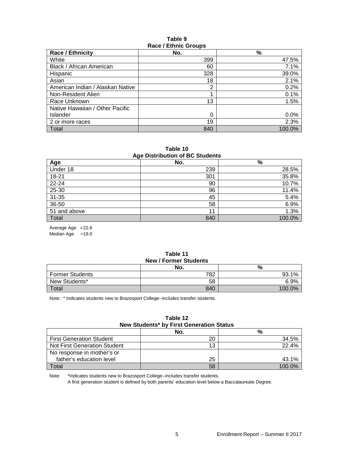#### **Table 9 Race / Ethnic Groups**

| <b>Race / Ethnicity</b>          | No. | $\frac{9}{6}$ |  |
|----------------------------------|-----|---------------|--|
| White                            | 399 | 47.5%         |  |
| Black / African American         | 60  | 7.1%          |  |
| Hispanic                         | 328 | 39.0%         |  |
| Asian                            | 18  | 2.1%          |  |
| American Indian / Alaskan Native | 2   | 0.2%          |  |
| Non-Resident Alien               | 4   | 0.1%          |  |
| Race Unknown                     | 13  | 1.5%          |  |
| Native Hawaiian / Other Pacific  |     |               |  |
| <b>Islander</b>                  | 0   | 0.0%          |  |
| 2 or more races                  | 19  | 2.3%          |  |
| <b>Total</b>                     | 840 | 100.0%        |  |

**Table 10 Age Distribution of BC Students**

| Age Distribution of Do Otaquitto |     |        |  |
|----------------------------------|-----|--------|--|
| Age                              | No. | %      |  |
| Under 18                         | 239 | 28.5%  |  |
| 18-21                            | 301 | 35.8%  |  |
| 22-24                            | 90  | 10.7%  |  |
| 25-30                            | 96  | 11.4%  |  |
| $31 - 35$                        | 45  | 5.4%   |  |
| 36-50                            | 58  | 6.9%   |  |
| 51 and above                     | 11  | 1.3%   |  |
| Total                            | 840 | 100.0% |  |

Average Age =22.6

Median Age  $=19.0$ 

#### **Table 11 New / Former Students**

|                        | <b>INGWIT UTTILET OLUMETILS</b><br>No. | %         |
|------------------------|----------------------------------------|-----------|
| <b>Former Students</b> | 782                                    | 93.1%     |
| New Students*          | 58                                     | 6.9%      |
| Total                  | 840                                    | $100.0\%$ |

Note: \* Indicates students new to Brazosport College--includes transfer students.

#### **Table 12 New Students\* by First Generation Status**

|                                 | No. | %         |
|---------------------------------|-----|-----------|
| <b>First Generation Student</b> | 20  | 34.5%     |
| Not First Generation Student    | 13  | 22.4%     |
| No response in mother's or      |     |           |
| father's education level        | 25  | 43.1%     |
| Total                           | 58  | $100.0\%$ |

Note: \*Indicates students new to Brazosport College--includes transfer students.

A first generation student is defined by both parents' education level below a Baccalaureate Degree.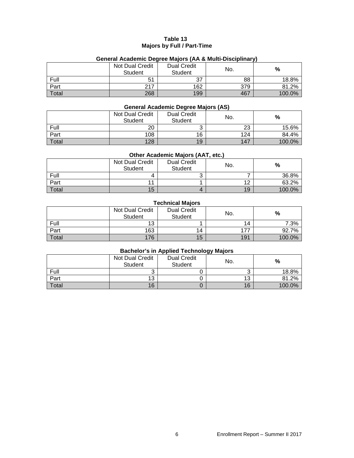#### **Table 13 Majors by Full / Part-Time**

|       | Not Dual Credit<br>Student | <b>Dual Credit</b><br>Student | No. | $\%$   |  |  |  |  |
|-------|----------------------------|-------------------------------|-----|--------|--|--|--|--|
| Full  | 51                         | 37                            | 88  | 18.8%  |  |  |  |  |
| Part  | 217                        | 162                           | 379 | 81.2%  |  |  |  |  |
| Total | 268                        | 199                           | 467 | 100.0% |  |  |  |  |

## **General Academic Degree Majors (AA & Multi-Disciplinary)**

## **General Academic Degree Majors (AS)**

|       | Not Dual Credit<br><b>Student</b> | <b>Dual Credit</b><br><b>Student</b> | No. | %      |
|-------|-----------------------------------|--------------------------------------|-----|--------|
| Full  | 20                                | ົ                                    | 23  | 15.6%  |
| Part  | 108                               | 16                                   | 124 | 84.4%  |
| Total | 128                               | 19                                   | 147 | 100.0% |

## **Other Academic Majors (AAT, etc.)**

|       | Not Dual Credit<br><b>Student</b> | <b>Dual Credit</b><br>Student | No. | %      |
|-------|-----------------------------------|-------------------------------|-----|--------|
| Full  |                                   |                               |     | 36.8%  |
| Part  |                                   |                               | 12  | 63.2%  |
| Total | 15                                |                               | 19  | 100.0% |

### **Technical Majors**

|       | Not Dual Credit<br><b>Student</b> | <b>Dual Credit</b><br><b>Student</b> | No. | %      |
|-------|-----------------------------------|--------------------------------------|-----|--------|
| Full  | 13                                |                                      | 14  | 7.3%   |
| Part  | 163                               | 14                                   | 177 | 92.7%  |
| Total | 176                               | 15                                   | 191 | 100.0% |

#### **Bachelor's in Applied Technology Majors**

|       | Not Dual Credit<br>Student | <b>Dual Credit</b><br><b>Student</b> | No. | %      |
|-------|----------------------------|--------------------------------------|-----|--------|
| Full  |                            |                                      |     | 18.8%  |
| Part  | 13                         |                                      | 13  | 81.2%  |
| Total | 16                         |                                      | 16  | 100.0% |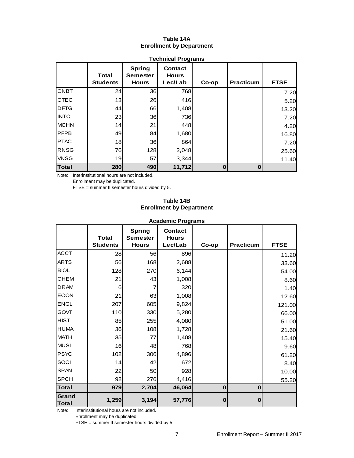### **Table 14A Enrollment by Department**

|              | Total<br><b>Students</b> | <b>Spring</b><br>Semester<br><b>Hours</b> | <b>Contact</b><br><b>Hours</b><br>Lec/Lab | Co-op    | <b>Practicum</b> | <b>FTSE</b> |
|--------------|--------------------------|-------------------------------------------|-------------------------------------------|----------|------------------|-------------|
| <b>CNBT</b>  | 24                       | 36                                        | 768                                       |          |                  | 7.20        |
| <b>CTEC</b>  | 13                       | 26                                        | 416                                       |          |                  | 5.20        |
| <b>DFTG</b>  | 44                       | 66                                        | 1,408                                     |          |                  | 13.20       |
| <b>INTC</b>  | 23                       | 36                                        | 736                                       |          |                  | 7.20        |
| <b>MCHN</b>  | 14                       | 21                                        | 448                                       |          |                  | 4.20        |
| <b>PFPB</b>  | 49                       | 84                                        | 1,680                                     |          |                  | 16.80       |
| <b>PTAC</b>  | 18                       | 36                                        | 864                                       |          |                  | 7.20        |
| <b>RNSG</b>  | 76                       | 128                                       | 2,048                                     |          |                  | 25.60       |
| <b>VNSG</b>  | 19                       | 57                                        | 3,344                                     |          |                  | 11.40       |
| <b>Total</b> | 280                      | 490                                       | 11,712                                    | $\bf{0}$ | $\bf{0}$         |             |

## **Technical Programs**

Note: Interinstitutional hours are not included.

Enrollment may be duplicated.

FTSE = summer II semester hours divided by 5.

#### **Table 14B Enrollment by Department**

|                       | <b>Academic Programs</b>        |                                                  |                                           |             |                  |             |  |
|-----------------------|---------------------------------|--------------------------------------------------|-------------------------------------------|-------------|------------------|-------------|--|
|                       | <b>Total</b><br><b>Students</b> | <b>Spring</b><br><b>Semester</b><br><b>Hours</b> | <b>Contact</b><br><b>Hours</b><br>Lec/Lab | Co-op       | <b>Practicum</b> | <b>FTSE</b> |  |
| <b>ACCT</b>           | 28                              | 56                                               | 896                                       |             |                  | 11.20       |  |
| <b>ARTS</b>           | 56                              | 168                                              | 2,688                                     |             |                  | 33.60       |  |
| <b>BIOL</b>           | 128                             | 270                                              | 6,144                                     |             |                  | 54.00       |  |
| <b>CHEM</b>           | 21                              | 43                                               | 1,008                                     |             |                  | 8.60        |  |
| <b>DRAM</b>           | 6                               | 7                                                | 320                                       |             |                  | 1.40        |  |
| <b>ECON</b>           | 21                              | 63                                               | 1,008                                     |             |                  | 12.60       |  |
| <b>ENGL</b>           | 207                             | 605                                              | 9,824                                     |             |                  | 121.00      |  |
| <b>GOVT</b>           | 110                             | 330                                              | 5,280                                     |             |                  | 66.00       |  |
| <b>HIST</b>           | 85                              | 255                                              | 4,080                                     |             |                  | 51.00       |  |
| <b>HUMA</b>           | 36                              | 108                                              | 1,728                                     |             |                  | 21.60       |  |
| <b>MATH</b>           | 35                              | 77                                               | 1,408                                     |             |                  | 15.40       |  |
| <b>MUSI</b>           | 16                              | 48                                               | 768                                       |             |                  | 9.60        |  |
| <b>PSYC</b>           | 102                             | 306                                              | 4,896                                     |             |                  | 61.20       |  |
| SOCI                  | 14                              | 42                                               | 672                                       |             |                  | 8.40        |  |
| <b>SPAN</b>           | 22                              | 50                                               | 928                                       |             |                  | 10.00       |  |
| <b>SPCH</b>           | 92                              | 276                                              | 4,416                                     |             |                  | 55.20       |  |
| <b>Total</b>          | 979                             | 2,704                                            | 46,064                                    | $\mathbf 0$ | $\bf{0}$         |             |  |
| <b>Grand</b><br>Total | 1,259                           | 3,194                                            | 57,776                                    | $\mathbf 0$ | $\Omega$         |             |  |

**Academic Programs**

Note: Interinstitutional hours are not included.

Enrollment may be duplicated.

FTSE = summer II semester hours divided by 5.